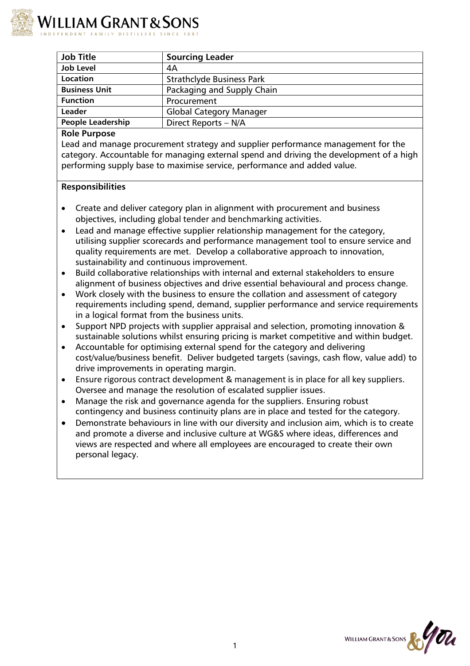

| <b>Job Title</b>         | <b>Sourcing Leader</b>           |
|--------------------------|----------------------------------|
| <b>Job Level</b>         | 4А                               |
| Location                 | <b>Strathclyde Business Park</b> |
| <b>Business Unit</b>     | Packaging and Supply Chain       |
| <b>Function</b>          | Procurement                      |
| Leader                   | <b>Global Category Manager</b>   |
| <b>People Leadership</b> | Direct Reports - N/A             |

#### **Role Purpose**

Lead and manage procurement strategy and supplier performance management for the category. Accountable for managing external spend and driving the development of a high performing supply base to maximise service, performance and added value.

### **Responsibilities**

- Create and deliver category plan in alignment with procurement and business objectives, including global tender and benchmarking activities.
- Lead and manage effective supplier relationship management for the category, utilising supplier scorecards and performance management tool to ensure service and quality requirements are met. Develop a collaborative approach to innovation, sustainability and continuous improvement.
- Build collaborative relationships with internal and external stakeholders to ensure alignment of business objectives and drive essential behavioural and process change.
- Work closely with the business to ensure the collation and assessment of category requirements including spend, demand, supplier performance and service requirements in a logical format from the business units.
- Support NPD projects with supplier appraisal and selection, promoting innovation & sustainable solutions whilst ensuring pricing is market competitive and within budget.
- Accountable for optimising external spend for the category and delivering cost/value/business benefit. Deliver budgeted targets (savings, cash flow, value add) to drive improvements in operating margin.
- Ensure rigorous contract development & management is in place for all key suppliers. Oversee and manage the resolution of escalated supplier issues.
- Manage the risk and governance agenda for the suppliers. Ensuring robust contingency and business continuity plans are in place and tested for the category.
- Demonstrate behaviours in line with our diversity and inclusion aim, which is to create and promote a diverse and inclusive culture at WG&S where ideas, differences and views are respected and where all employees are encouraged to create their own personal legacy.

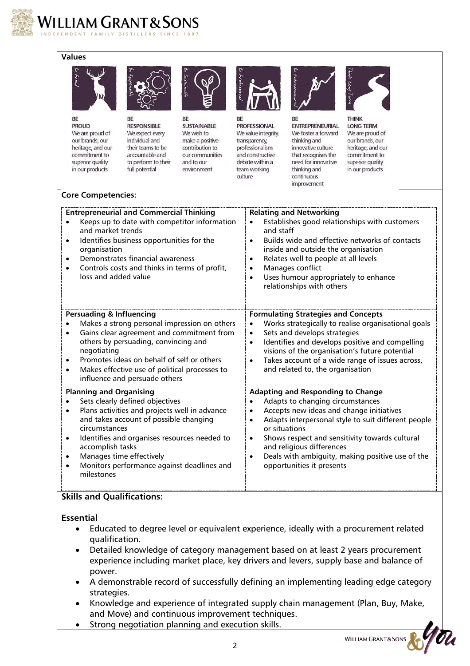

# **Values**



BE **PROUD** We are proud of our brands, our heritage, and our commitment to superior quality in our products



BE **RESPONSIBLE** We expect every individual and their teams to be accountable and to perform to their full potential



**BE SUSTAINABLE** We wish to make a positive contribution to our communities and to our environment



**RF PROFESSIONAL** We value integrity, transparency, professionalism and constructive debate within a team working culture



**RF ENTREPRENEURIAL** We foster a forward thinking and innovative culture that recognises the need for innovative thinking and continuous improvement



**LONG TERM** We are proud of our brands, our heritage, and our commitment to superior quality in our products

### **Core Competencies:**

| <b>Entrepreneurial and Commercial Thinking</b><br>Keeps up to date with competitor information<br>and market trends<br>Identifies business opportunities for the<br>٠<br>organisation<br>Demonstrates financial awareness<br>$\bullet$<br>Controls costs and thinks in terms of profit,<br>loss and added value                                                          | <b>Relating and Networking</b><br>Establishes good relationships with customers<br>and staff<br>Builds wide and effective networks of contacts<br>$\bullet$<br>inside and outside the organisation<br>Relates well to people at all levels<br>$\bullet$<br>Manages conflict<br>Uses humour appropriately to enhance<br>relationships with others                                           |
|--------------------------------------------------------------------------------------------------------------------------------------------------------------------------------------------------------------------------------------------------------------------------------------------------------------------------------------------------------------------------|--------------------------------------------------------------------------------------------------------------------------------------------------------------------------------------------------------------------------------------------------------------------------------------------------------------------------------------------------------------------------------------------|
| <b>Persuading &amp; Influencing</b><br>Makes a strong personal impression on others<br>Gains clear agreement and commitment from<br>others by persuading, convincing and<br>negotiating<br>Promotes ideas on behalf of self or others<br>Makes effective use of political processes to<br>influence and persuade others                                                  | <b>Formulating Strategies and Concepts</b><br>Works strategically to realise organisational goals<br>$\bullet$<br>Sets and develops strategies<br>Identifies and develops positive and compelling<br>$\bullet$<br>visions of the organisation's future potential<br>Takes account of a wide range of issues across,<br>$\bullet$<br>and related to, the organisation                       |
| <b>Planning and Organising</b><br>Sets clearly defined objectives<br>Plans activities and projects well in advance<br>٠<br>and takes account of possible changing<br>circumstances<br>Identifies and organises resources needed to<br>$\bullet$<br>accomplish tasks<br>Manages time effectively<br>$\bullet$<br>Monitors performance against deadlines and<br>milestones | <b>Adapting and Responding to Change</b><br>Adapts to changing circumstances<br>Accepts new ideas and change initiatives<br>Adapts interpersonal style to suit different people<br>or situations<br>Shows respect and sensitivity towards cultural<br>$\bullet$<br>and religious differences<br>Deals with ambiguity, making positive use of the<br>$\bullet$<br>opportunities it presents |

## **Skills and Qualifications:**

**Essential**

- Educated to degree level or equivalent experience, ideally with a procurement related qualification.
- Detailed knowledge of category management based on at least 2 years procurement experience including market place, key drivers and levers, supply base and balance of power.
- A demonstrable record of successfully defining an implementing leading edge category strategies.
- Knowledge and experience of integrated supply chain management (Plan, Buy, Make, and Move) and continuous improvement techniques.
- Strong negotiation planning and execution skills.